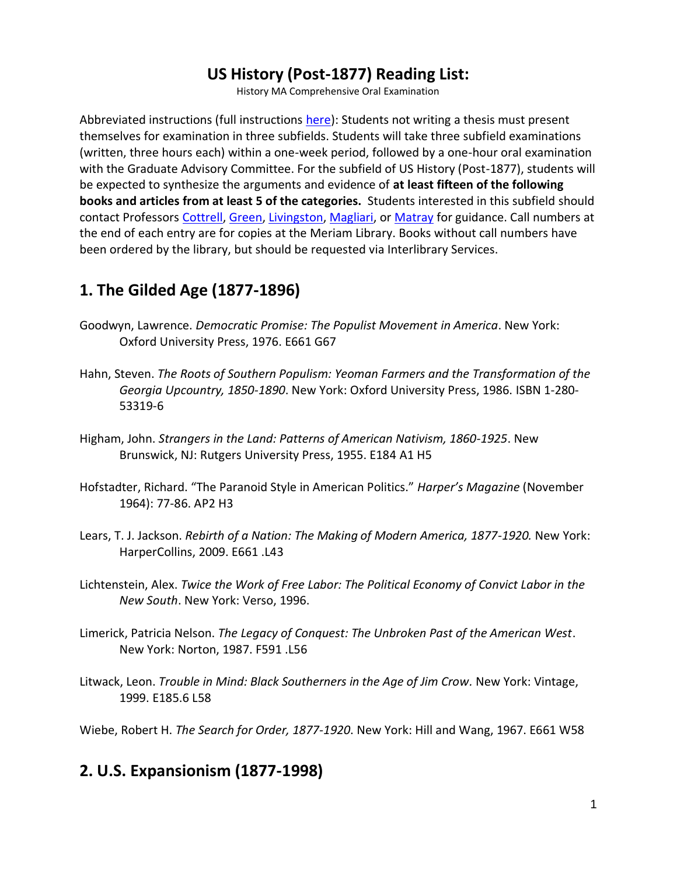# **US History (Post-1877) Reading List:**

History MA Comprehensive Oral Examination

Abbreviated instructions (full instructions [here\)](http://www.csuchico.edu/hist/academic-programs/ma-comprehensive-oral-examination.shtml): Students not writing a thesis must present themselves for examination in three subfields. Students will take three subfield examinations (written, three hours each) within a one-week period, followed by a one-hour oral examination with the Graduate Advisory Committee. For the subfield of US History (Post-1877), students will be expected to synthesize the arguments and evidence of **at least fifteen of the following books and articles from at least 5 of the categories.** Students interested in this subfield should contact Professors [Cottrell,](http://www.csuchico.edu/hist/faculty/biographies/cottrell.shtml) [Green,](http://www.csuchico.edu/hist/faculty/biographies/green.shtml) [Livingston,](http://www.csuchico.edu/hist/faculty/biographies/livingston.shtml) [Magliari,](http://www.csuchico.edu/hist/faculty/biographies/magliari.shtml) o[r Matray](http://www.csuchico.edu/hist/faculty/biographies/matray.shtml) for guidance. Call numbers at the end of each entry are for copies at the Meriam Library. Books without call numbers have been ordered by the library, but should be requested via Interlibrary Services.

# **1. The Gilded Age (1877-1896)**

- Goodwyn, Lawrence. *Democratic Promise: The Populist Movement in America*. New York: Oxford University Press, 1976. E661 G67
- Hahn, Steven. *The Roots of Southern Populism: Yeoman Farmers and the Transformation of the Georgia Upcountry, 1850-1890*. New York: Oxford University Press, 1986. ISBN 1-280- 53319-6
- Higham, John. *Strangers in the Land: Patterns of American Nativism, 1860-1925*. New Brunswick, NJ: Rutgers University Press, 1955. E184 A1 H5
- Hofstadter, Richard. "The Paranoid Style in American Politics." *Harper's Magazine* (November 1964): 77-86. AP2 H3
- Lears, T. J. Jackson. *Rebirth of a Nation: The Making of Modern America, 1877-1920.* New York: HarperCollins, 2009. E661 .L43
- Lichtenstein, Alex. *Twice the Work of Free Labor: The Political Economy of Convict Labor in the New South*. New York: Verso, 1996.
- Limerick, Patricia Nelson. *The Legacy of Conquest: The Unbroken Past of the American West*. New York: Norton, 1987. F591 .L56
- Litwack, Leon. *Trouble in Mind: Black Southerners in the Age of Jim Crow.* New York: Vintage, 1999. E185.6 L58

Wiebe, Robert H. *The Search for Order, 1877-1920*. New York: Hill and Wang, 1967. E661 W58

# **2. U.S. Expansionism (1877-1998)**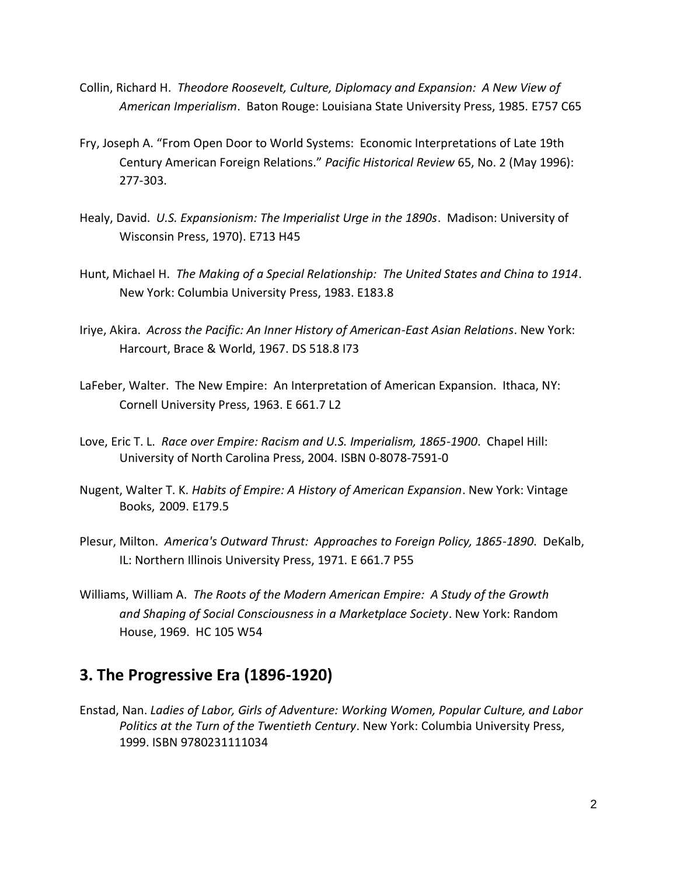- Collin, Richard H. *Theodore Roosevelt, Culture, Diplomacy and Expansion: A New View of American Imperialism*. Baton Rouge: Louisiana State University Press, 1985. E757 C65
- Fry, Joseph A. "From Open Door to World Systems: Economic Interpretations of Late 19th Century American Foreign Relations." *Pacific Historical Review* 65, No. 2 (May 1996): 277-303.
- Healy, David. *U.S. Expansionism: The Imperialist Urge in the 1890s*. Madison: University of Wisconsin Press, 1970). E713 H45
- Hunt, Michael H. *The Making of a Special Relationship: The United States and China to 1914*. New York: Columbia University Press, 1983. E183.8
- Iriye, Akira. *Across the Pacific: An Inner History of American-East Asian Relations*. New York: Harcourt, Brace & World, 1967. DS 518.8 I73
- LaFeber, Walter. The New Empire: An Interpretation of American Expansion. Ithaca, NY: Cornell University Press, 1963. E 661.7 L2
- Love, Eric T. L. *Race over Empire: Racism and U.S. Imperialism, 1865-1900*. Chapel Hill: University of North Carolina Press, 2004. ISBN 0-8078-7591-0
- Nugent, Walter T. K. *Habits of Empire: A History of American Expansion*. New York: Vintage Books, 2009. E179.5
- Plesur, Milton. *America's Outward Thrust: Approaches to Foreign Policy, 1865-1890*. DeKalb, IL: Northern Illinois University Press, 1971. E 661.7 P55
- Williams, William A. *The Roots of the Modern American Empire: A Study of the Growth and Shaping of Social Consciousness in a Marketplace Society*. New York: Random House, 1969. HC 105 W54

### **3. The Progressive Era (1896-1920)**

Enstad, Nan. *Ladies of Labor, Girls of Adventure: Working Women, Popular Culture, and Labor Politics at the Turn of the Twentieth Century*. New York: Columbia University Press, 1999. ISBN 9780231111034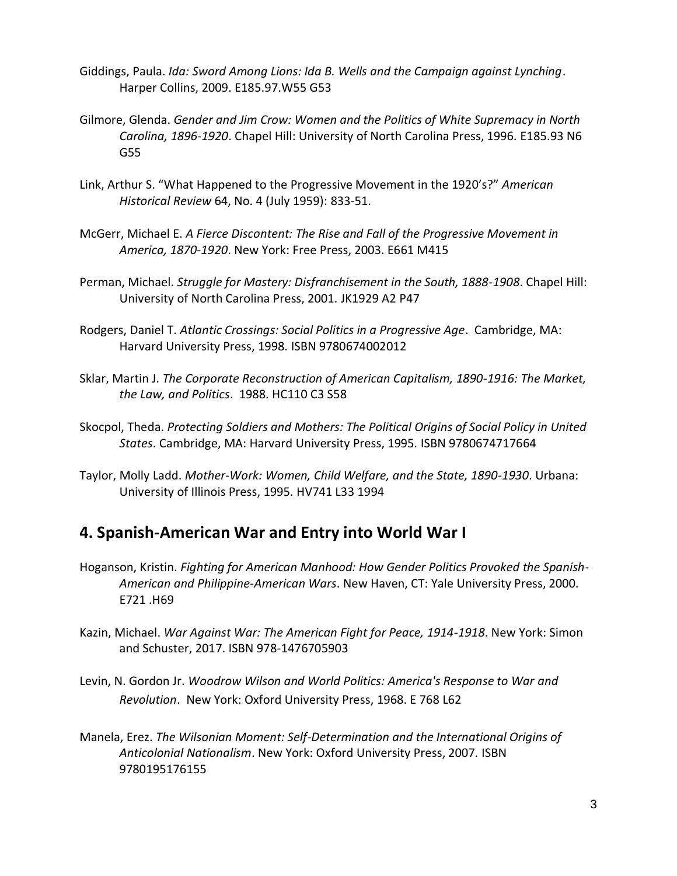- Giddings, Paula. *Ida: Sword Among Lions: Ida B. Wells and the Campaign against Lynching*. Harper Collins, 2009. E185.97.W55 G53
- Gilmore, Glenda. *Gender and Jim Crow: Women and the Politics of White Supremacy in North Carolina, 1896-1920*. Chapel Hill: University of North Carolina Press, 1996. E185.93 N6 G55
- Link, Arthur S. "What Happened to the Progressive Movement in the 1920's?" *American Historical Review* 64, No. 4 (July 1959): 833-51.
- McGerr, Michael E. *A Fierce Discontent: The Rise and Fall of the Progressive Movement in America, 1870-1920*. New York: Free Press, 2003. E661 M415
- Perman, Michael. *Struggle for Mastery: Disfranchisement in the South, 1888-1908*. Chapel Hill: University of North Carolina Press, 2001. JK1929 A2 P47
- Rodgers, Daniel T. *Atlantic Crossings: Social Politics in a Progressive Age*. Cambridge, MA: Harvard University Press, 1998. ISBN 9780674002012
- Sklar, Martin J. *The Corporate Reconstruction of American Capitalism, 1890-1916: The Market, the Law, and Politics*. 1988. HC110 C3 S58
- Skocpol, Theda. *Protecting Soldiers and Mothers: The Political Origins of Social Policy in United States*. Cambridge, MA: Harvard University Press, 1995. ISBN 9780674717664
- Taylor, Molly Ladd. *Mother-Work: Women, Child Welfare, and the State, 1890-1930*. Urbana: University of Illinois Press, 1995. HV741 L33 1994

## **4. Spanish-American War and Entry into World War I**

- Hoganson, Kristin. *Fighting for American Manhood: How Gender Politics Provoked the Spanish-American and Philippine-American Wars*. New Haven, CT: Yale University Press, 2000. E721 .H69
- Kazin, Michael. *War Against War: The American Fight for Peace, 1914-1918*. New York: Simon and Schuster, 2017. ISBN 978-1476705903
- Levin, N. Gordon Jr. *Woodrow Wilson and World Politics: America's Response to War and Revolution*. New York: Oxford University Press, 1968. E 768 L62
- Manela, Erez. *The Wilsonian Moment: Self-Determination and the International Origins of Anticolonial Nationalism*. New York: Oxford University Press, 2007. ISBN 9780195176155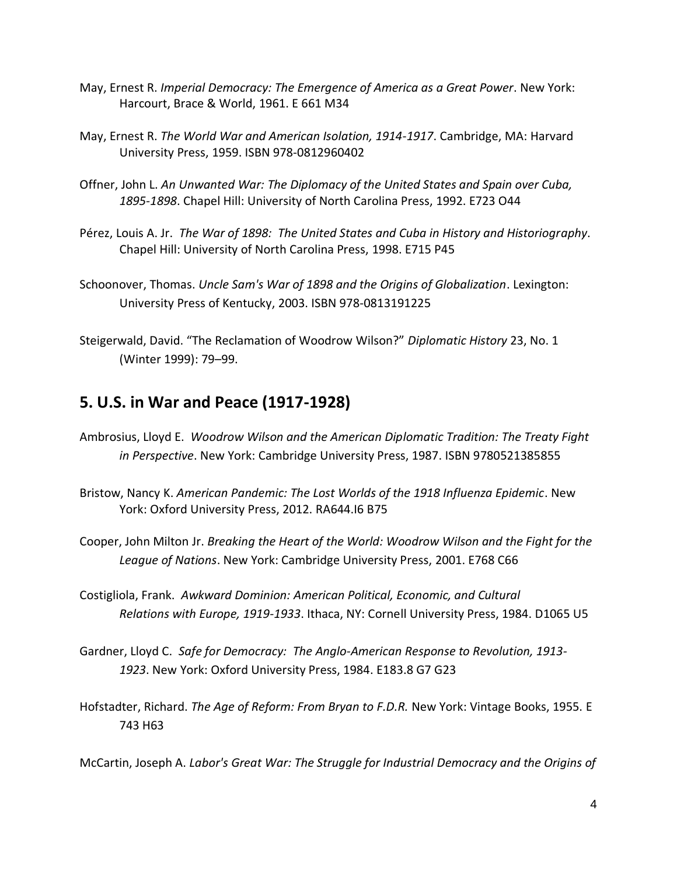- May, Ernest R. *Imperial Democracy: The Emergence of America as a Great Power*. New York: Harcourt, Brace & World, 1961. E 661 M34
- May, Ernest R. *The World War and American Isolation, 1914-1917*. Cambridge, MA: Harvard University Press, 1959. ISBN 978-0812960402
- Offner, John L. *An Unwanted War: The Diplomacy of the United States and Spain over Cuba, 1895-1898*. Chapel Hill: University of North Carolina Press, 1992. E723 O44
- Pérez, Louis A. Jr. *The War of 1898: The United States and Cuba in History and Historiography*. Chapel Hill: University of North Carolina Press, 1998. E715 P45
- Schoonover, Thomas. *Uncle Sam's War of 1898 and the Origins of Globalization*. Lexington: University Press of Kentucky, 2003. ISBN 978-0813191225
- Steigerwald, David. "The Reclamation of Woodrow Wilson?" *Diplomatic History* 23, No. 1 (Winter 1999): 79–99.

### **5. U.S. in War and Peace (1917-1928)**

- Ambrosius, Lloyd E. *Woodrow Wilson and the American Diplomatic Tradition: The Treaty Fight in Perspective*. New York: Cambridge University Press, 1987. ISBN 9780521385855
- Bristow, Nancy K. *American Pandemic: The Lost Worlds of the 1918 Influenza Epidemic*. New York: Oxford University Press, 2012. RA644.I6 B75
- Cooper, John Milton Jr. *Breaking the Heart of the World: Woodrow Wilson and the Fight for the League of Nations*. New York: Cambridge University Press, 2001. E768 C66
- Costigliola, Frank. *Awkward Dominion: American Political, Economic, and Cultural Relations with Europe, 1919-1933*. Ithaca, NY: Cornell University Press, 1984. D1065 U5
- Gardner, Lloyd C. *Safe for Democracy: The Anglo-American Response to Revolution, 1913- 1923*. New York: Oxford University Press, 1984. E183.8 G7 G23
- Hofstadter, Richard. *The Age of Reform: From Bryan to F.D.R.* New York: Vintage Books, 1955. E 743 H63

McCartin, Joseph A. *Labor's Great War: The Struggle for Industrial Democracy and the Origins of*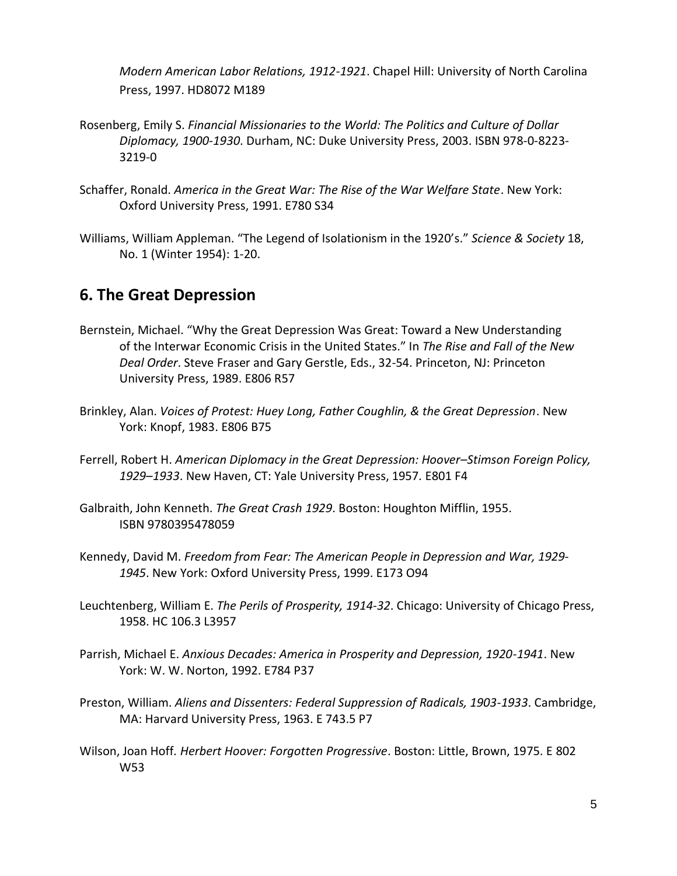*Modern American Labor Relations, 1912-1921*. Chapel Hill: University of North Carolina Press, 1997. HD8072 M189

- Rosenberg, Emily S. *Financial Missionaries to the World: The Politics and Culture of Dollar Diplomacy, 1900-1930*. Durham, NC: Duke University Press, 2003. ISBN 978-0-8223- 3219-0
- Schaffer, Ronald. *America in the Great War: The Rise of the War Welfare State*. New York: Oxford University Press, 1991. E780 S34
- Williams, William Appleman. "The Legend of Isolationism in the 1920's." *Science & Society* 18, No. 1 (Winter 1954): 1-20.

### **6. The Great Depression**

- Bernstein, Michael. "Why the Great Depression Was Great: Toward a New Understanding of the Interwar Economic Crisis in the United States." In *The Rise and Fall of the New Deal Order*. Steve Fraser and Gary Gerstle, Eds., 32-54. Princeton, NJ: Princeton University Press, 1989. E806 R57
- Brinkley, Alan. *Voices of Protest: Huey Long, Father Coughlin, & the Great Depression*. New York: Knopf, 1983. E806 B75
- Ferrell, Robert H. *American Diplomacy in the Great Depression: Hoover–Stimson Foreign Policy, 1929–1933*. New Haven, CT: Yale University Press, 1957. E801 F4
- Galbraith, John Kenneth. *The Great Crash 1929*. Boston: Houghton Mifflin, 1955. ISBN 9780395478059
- Kennedy, David M. *Freedom from Fear: The American People in Depression and War, 1929- 1945*. New York: Oxford University Press, 1999. E173 O94
- Leuchtenberg, William E. *The Perils of Prosperity, 1914-32*. Chicago: University of Chicago Press, 1958. HC 106.3 L3957
- Parrish, Michael E. *Anxious Decades: America in Prosperity and Depression, 1920-1941*. New York: W. W. Norton, 1992. E784 P37
- Preston, William. *Aliens and Dissenters: Federal Suppression of Radicals, 1903-1933*. Cambridge, MA: Harvard University Press, 1963. E 743.5 P7
- Wilson, Joan Hoff*. Herbert Hoover: Forgotten Progressive*. Boston: Little, Brown, 1975. E 802 W53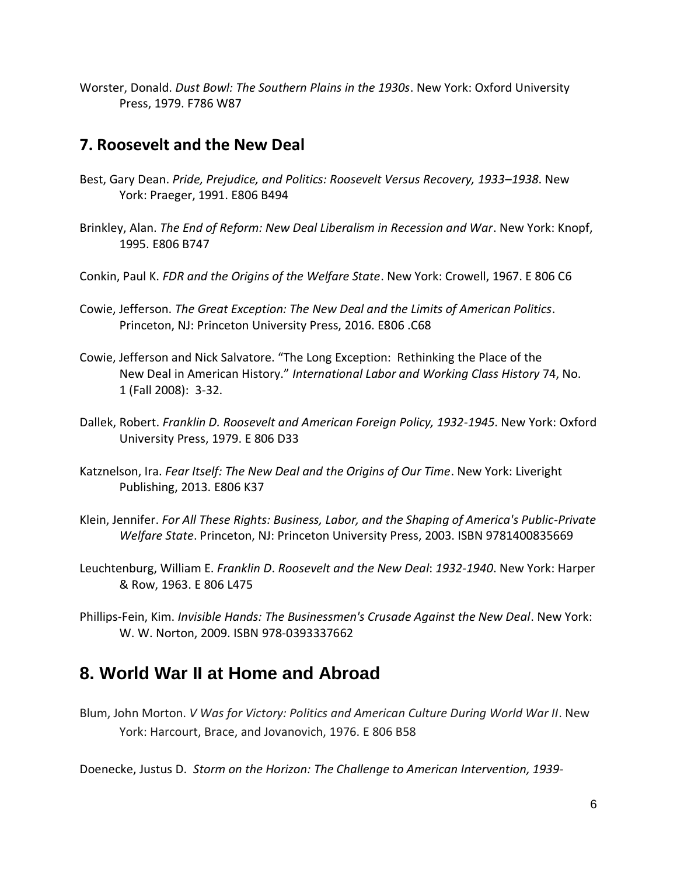Worster, Donald. *Dust Bowl: The Southern Plains in the 1930s*. New York: Oxford University Press, 1979. F786 W87

#### **7. Roosevelt and the New Deal**

- Best, Gary Dean. *Pride, Prejudice, and Politics: Roosevelt Versus Recovery, 1933–1938*. New York: Praeger, 1991. E806 B494
- Brinkley, Alan. *The End of Reform: New Deal Liberalism in Recession and War*. New York: Knopf, 1995. E806 B747
- Conkin, Paul K. *FDR and the Origins of the Welfare State*. New York: Crowell, 1967. E 806 C6
- Cowie, Jefferson. *The Great Exception: The New Deal and the Limits of American Politics*. Princeton, NJ: Princeton University Press, 2016. E806 .C68
- Cowie, Jefferson and Nick Salvatore. "The Long Exception: Rethinking the Place of the New Deal in American History." *International Labor and Working Class History* 74, No. 1 (Fall 2008): 3-32.
- Dallek, Robert. *Franklin D. Roosevelt and American Foreign Policy, 1932-1945*. New York: Oxford University Press, 1979. E 806 D33
- Katznelson, Ira. *Fear Itself: The New Deal and the Origins of Our Time*. New York: Liveright Publishing, 2013. E806 K37
- Klein, Jennifer. *For All These Rights: Business, Labor, and the Shaping of America's Public-Private Welfare State*. Princeton, NJ: Princeton University Press, 2003. ISBN 9781400835669
- Leuchtenburg, William E. *Franklin D*. *Roosevelt and the New Deal*: *1932-1940*. New York: Harper & Row, 1963. E 806 L475
- Phillips-Fein, Kim. *Invisible Hands: The Businessmen's Crusade Against the New Deal*. New York: W. W. Norton, 2009. ISBN 978-0393337662

# **8. World War II at Home and Abroad**

Blum, John Morton. *V Was for Victory: Politics and American Culture During World War II*. New York: Harcourt, Brace, and Jovanovich, 1976. E 806 B58

Doenecke, Justus D. *Storm on the Horizon: The Challenge to American Intervention, 1939-*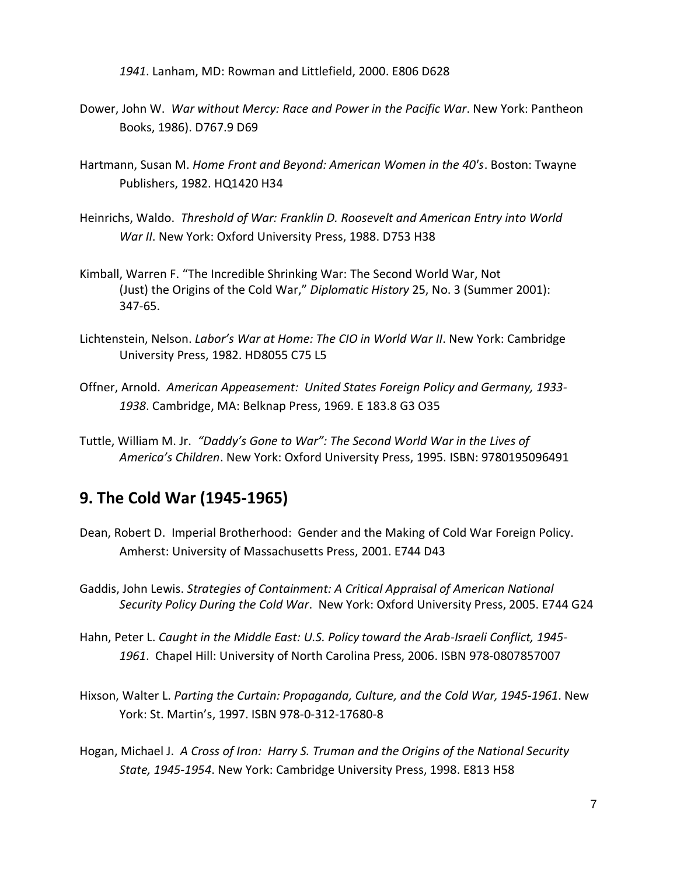*1941*. Lanham, MD: Rowman and Littlefield, 2000. E806 D628

- Dower, John W. *War without Mercy: Race and Power in the Pacific War*. New York: Pantheon Books, 1986). D767.9 D69
- Hartmann, Susan M. *Home Front and Beyond: American Women in the 40's*. Boston: Twayne Publishers, 1982. HQ1420 H34
- Heinrichs, Waldo. *Threshold of War: Franklin D. Roosevelt and American Entry into World War II*. New York: Oxford University Press, 1988. D753 H38
- Kimball, Warren F. "The Incredible Shrinking War: The Second World War, Not (Just) the Origins of the Cold War," *Diplomatic History* 25, No. 3 (Summer 2001): 347-65.
- Lichtenstein, Nelson. *Labor's War at Home: The CIO in World War II*. New York: Cambridge University Press, 1982. HD8055 C75 L5
- Offner, Arnold. *American Appeasement: United States Foreign Policy and Germany, 1933- 1938*. Cambridge, MA: Belknap Press, 1969. E 183.8 G3 O35
- Tuttle, William M. Jr. *"Daddy's Gone to War": The Second World War in the Lives of America's Children*. New York: Oxford University Press, 1995. ISBN: 9780195096491

## **9. The Cold War (1945-1965)**

- Dean, Robert D. Imperial Brotherhood: Gender and the Making of Cold War Foreign Policy. Amherst: University of Massachusetts Press, 2001. E744 D43
- Gaddis, John Lewis. *Strategies of Containment: A Critical Appraisal of American National Security Policy During the Cold War*. New York: Oxford University Press, 2005. E744 G24
- Hahn, Peter L. *Caught in the Middle East: U.S. Policy toward the Arab-Israeli Conflict, 1945- 1961*. Chapel Hill: University of North Carolina Press, 2006. ISBN 978-0807857007
- Hixson, Walter L. *Parting the Curtain: Propaganda, Culture, and the Cold War, 1945-1961*. New York: St. Martin's, 1997. ISBN 978-0-312-17680-8
- Hogan, Michael J. *A Cross of Iron: Harry S. Truman and the Origins of the National Security State, 1945-1954*. New York: Cambridge University Press, 1998. E813 H58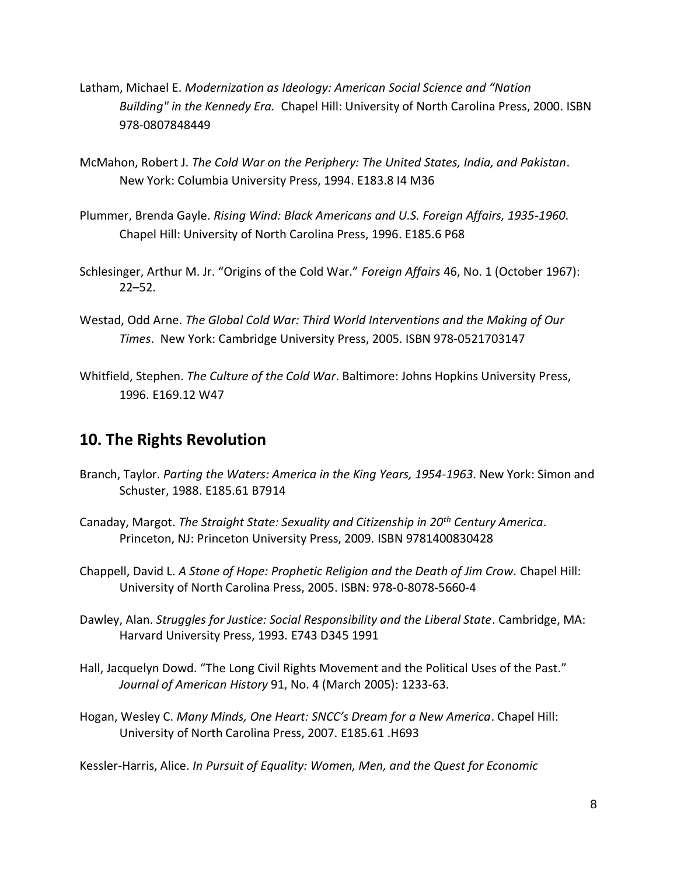- Latham, Michael E. *Modernization as Ideology: American Social Science and "Nation Building" in the Kennedy Era.* Chapel Hill: University of North Carolina Press, 2000. ISBN 978-0807848449
- McMahon, Robert J. *The Cold War on the Periphery: The United States, India, and Pakistan*. New York: Columbia University Press, 1994. E183.8 I4 M36
- Plummer, Brenda Gayle. *Rising Wind: Black Americans and U.S. Foreign Affairs, 1935-1960*. Chapel Hill: University of North Carolina Press, 1996. E185.6 P68
- Schlesinger, Arthur M. Jr. "Origins of the Cold War." *Foreign Affairs* 46, No. 1 (October 1967): 22–52.
- Westad, Odd Arne. *The Global Cold War: Third World Interventions and the Making of Our Times*. New York: Cambridge University Press, 2005. ISBN 978-0521703147
- Whitfield, Stephen. *The Culture of the Cold War*. Baltimore: Johns Hopkins University Press, 1996. E169.12 W47

### **10. The Rights Revolution**

- Branch, Taylor. *Parting the Waters: America in the King Years, 1954-1963*. New York: Simon and Schuster, 1988. E185.61 B7914
- Canaday, Margot. *The Straight State: Sexuality and Citizenship in 20th Century America*. Princeton, NJ: Princeton University Press, 2009. ISBN 9781400830428
- Chappell, David L. *A Stone of Hope: Prophetic Religion and the Death of Jim Crow.* Chapel Hill: University of North Carolina Press, 2005. ISBN: 978-0-8078-5660-4
- Dawley, Alan. *Struggles for Justice: Social Responsibility and the Liberal State*. Cambridge, MA: Harvard University Press, 1993. E743 D345 1991
- Hall, Jacquelyn Dowd. "The Long Civil Rights Movement and the Political Uses of the Past." *Journal of American History* 91, No. 4 (March 2005): 1233-63.
- Hogan, Wesley C. *Many Minds, One Heart: SNCC's Dream for a New America*. Chapel Hill: University of North Carolina Press, 2007. E185.61 .H693

Kessler-Harris, Alice. *In Pursuit of Equality: Women, Men, and the Quest for Economic*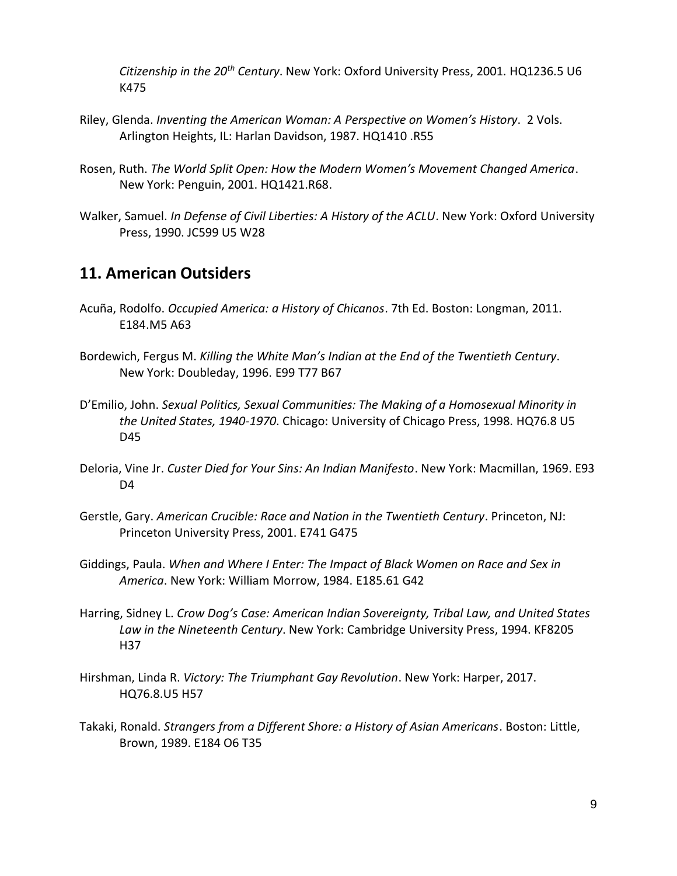*Citizenship in the 20th Century*. New York: Oxford University Press, 2001. HQ1236.5 U6 K475

- Riley, Glenda. *Inventing the American Woman: A Perspective on Women's History*. 2 Vols. Arlington Heights, IL: Harlan Davidson, 1987. HQ1410 .R55
- Rosen, Ruth. *The World Split Open: How the Modern Women's Movement Changed America*. New York: Penguin, 2001. HQ1421.R68.
- Walker, Samuel. *In Defense of Civil Liberties: A History of the ACLU*. New York: Oxford University Press, 1990. JC599 U5 W28

#### **11. American Outsiders**

- Acuña, Rodolfo. *Occupied America: a History of Chicanos*. 7th Ed. Boston: Longman, 2011. E184.M5 A63
- Bordewich, Fergus M. *Killing the White Man's Indian at the End of the Twentieth Century*. New York: Doubleday, 1996. E99 T77 B67
- D'Emilio, John. *Sexual Politics, Sexual Communities: The Making of a Homosexual Minority in the United States, 1940-1970*. Chicago: University of Chicago Press, 1998. HQ76.8 U5 D45
- Deloria, Vine Jr. *Custer Died for Your Sins: An Indian Manifesto*. New York: Macmillan, 1969. E93 D<sub>4</sub>
- Gerstle, Gary. *American Crucible: Race and Nation in the Twentieth Century*. Princeton, NJ: Princeton University Press, 2001. E741 G475
- Giddings, Paula. *When and Where I Enter: The Impact of Black Women on Race and Sex in America*. New York: William Morrow, 1984. E185.61 G42
- Harring, Sidney L. *Crow Dog's Case: American Indian Sovereignty, Tribal Law, and United States Law in the Nineteenth Century*. New York: Cambridge University Press, 1994. KF8205 H37
- Hirshman, Linda R. *Victory: The Triumphant Gay Revolution*. New York: Harper, 2017. HQ76.8.U5 H57
- Takaki, Ronald. *Strangers from a Different Shore: a History of Asian Americans*. Boston: Little, Brown, 1989. E184 O6 T35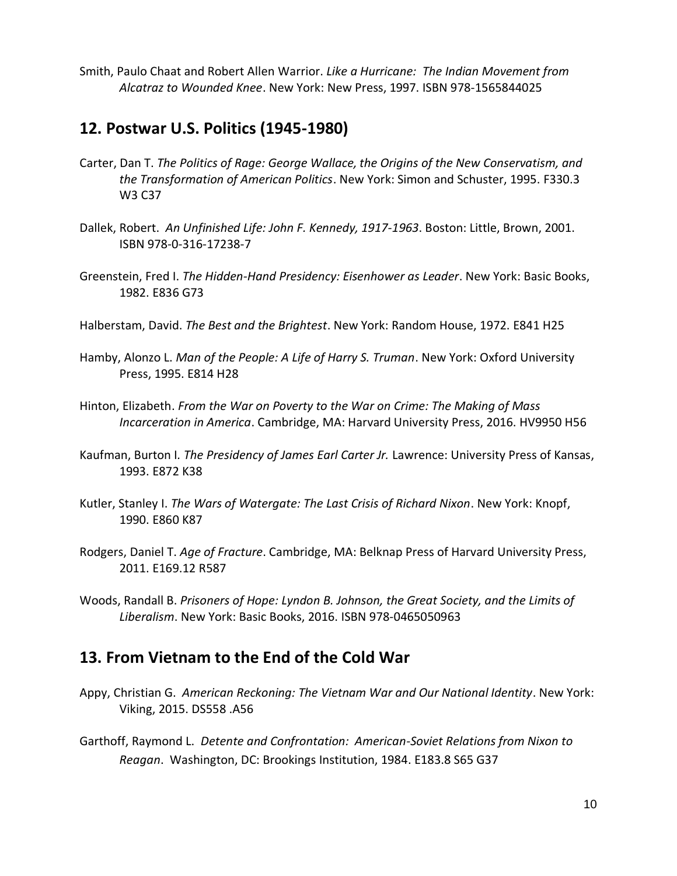Smith, Paulo Chaat and Robert Allen Warrior. *Like a Hurricane: The Indian Movement from Alcatraz to Wounded Knee*. New York: New Press, 1997. ISBN 978-1565844025

### **12. Postwar U.S. Politics (1945-1980)**

- Carter, Dan T. *The Politics of Rage: George Wallace, the Origins of the New Conservatism, and the Transformation of American Politics*. New York: Simon and Schuster, 1995. F330.3 W3 C37
- Dallek, Robert. *An Unfinished Life: John F. Kennedy, 1917-1963*. Boston: Little, Brown, 2001. ISBN 978-0-316-17238-7
- Greenstein, Fred I. *The Hidden-Hand Presidency: Eisenhower as Leader*. New York: Basic Books, 1982. E836 G73
- Halberstam, David. *The Best and the Brightest*. New York: Random House, 1972. E841 H25
- Hamby, Alonzo L. *Man of the People: A Life of Harry S. Truman*. New York: Oxford University Press, 1995. E814 H28
- Hinton, Elizabeth. *From the War on Poverty to the War on Crime: The Making of Mass Incarceration in America*. Cambridge, MA: Harvard University Press, 2016. HV9950 H56
- Kaufman, Burton I*. The Presidency of James Earl Carter Jr.* Lawrence: University Press of Kansas, 1993. E872 K38
- Kutler, Stanley I. *The Wars of Watergate: The Last Crisis of Richard Nixon*. New York: Knopf, 1990. E860 K87
- Rodgers, Daniel T. *Age of Fracture*. Cambridge, MA: Belknap Press of Harvard University Press, 2011. E169.12 R587
- Woods, Randall B. *Prisoners of Hope: Lyndon B. Johnson, the Great Society, and the Limits of Liberalism*. New York: Basic Books, 2016. ISBN 978-0465050963

## **13. From Vietnam to the End of the Cold War**

- Appy, Christian G. *American Reckoning: The Vietnam War and Our National Identity*. New York: Viking, 2015. DS558 .A56
- Garthoff, Raymond L. *Detente and Confrontation: American-Soviet Relations from Nixon to Reagan*. Washington, DC: Brookings Institution, 1984. E183.8 S65 G37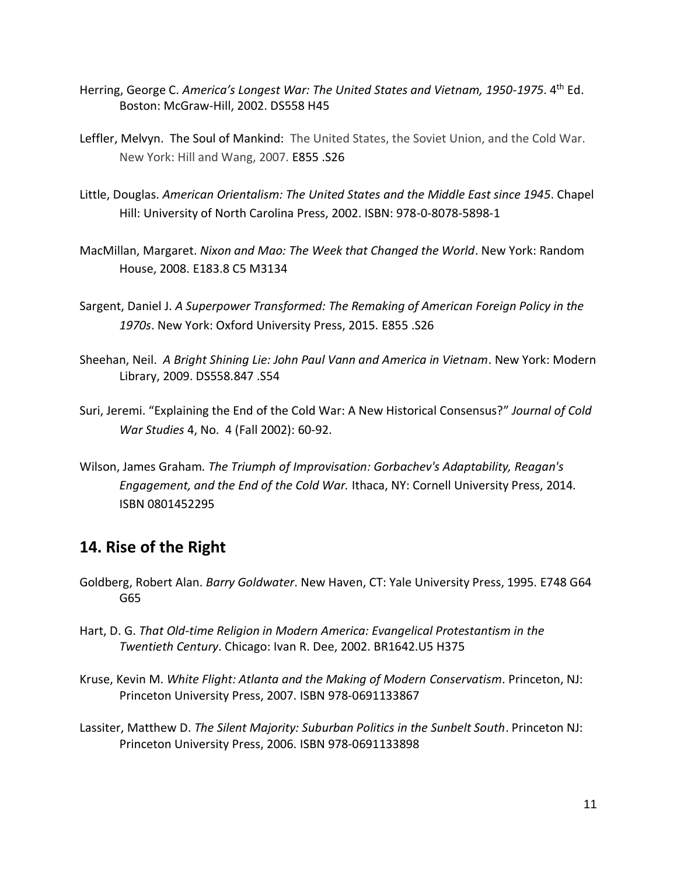- Herring, George C. *America's Longest War: The United States and Vietnam, 1950-1975*. 4th Ed. Boston: McGraw-Hill, 2002. DS558 H45
- Leffler, Melvyn. The Soul of Mankind: The United States, the Soviet Union, and the Cold War. New York: Hill and Wang, 2007. E855 .S26
- Little, Douglas. *American Orientalism: The United States and the Middle East since 1945*. Chapel Hill: University of North Carolina Press, 2002. ISBN: 978-0-8078-5898-1
- MacMillan, Margaret. *Nixon and Mao: The Week that Changed the World*. New York: Random House, 2008. E183.8 C5 M3134
- Sargent, Daniel J. *A Superpower Transformed: The Remaking of American Foreign Policy in the 1970s*. New York: Oxford University Press, 2015. E855 .S26
- Sheehan, Neil. *A Bright Shining Lie: John Paul Vann and America in Vietnam*. New York: Modern Library, 2009. DS558.847 .S54
- Suri, Jeremi. "Explaining the End of the Cold War: A New Historical Consensus?" *Journal of Cold War Studies* 4, No. 4 (Fall 2002): 60-92.
- Wilson, James Graham*. The Triumph of Improvisation: Gorbachev's Adaptability, Reagan's Engagement, and the End of the Cold War.* Ithaca, NY: Cornell University Press, 2014*.* ISBN 0801452295

### **14. Rise of the Right**

- Goldberg, Robert Alan. *Barry Goldwater*. New Haven, CT: Yale University Press, 1995. E748 G64 G65
- Hart, D. G. *That Old-time Religion in Modern America: Evangelical Protestantism in the Twentieth Century*. Chicago: Ivan R. Dee, 2002. BR1642.U5 H375
- Kruse, Kevin M. *White Flight: Atlanta and the Making of Modern Conservatism*. Princeton, NJ: Princeton University Press, 2007. ISBN 978-0691133867
- Lassiter, Matthew D. *The Silent Majority: Suburban Politics in the Sunbelt South*. Princeton NJ: Princeton University Press, 2006. ISBN 978-0691133898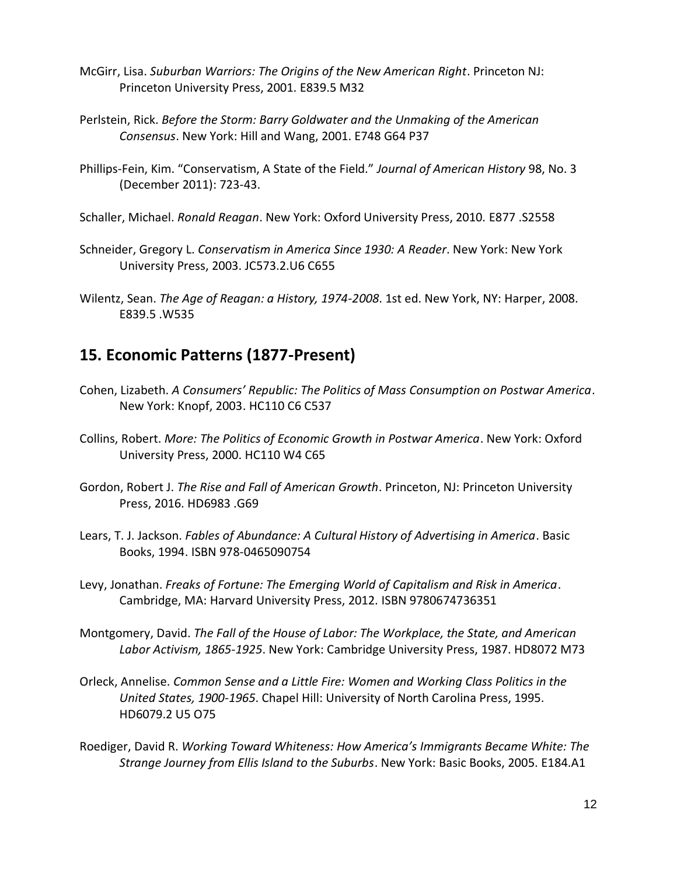- McGirr, Lisa. *Suburban Warriors: The Origins of the New American Right*. Princeton NJ: Princeton University Press, 2001. E839.5 M32
- Perlstein, Rick. *Before the Storm: Barry Goldwater and the Unmaking of the American Consensus*. New York: Hill and Wang, 2001. E748 G64 P37
- Phillips-Fein, Kim. "Conservatism, A State of the Field." *Journal of American History* 98, No. 3 (December 2011): 723-43.
- Schaller, Michael. *Ronald Reagan*. New York: Oxford University Press, 2010. E877 .S2558
- Schneider, Gregory L. *Conservatism in America Since 1930: A Reader*. New York: New York University Press, 2003. JC573.2.U6 C655
- Wilentz, Sean. *The Age of Reagan: a History, 1974-2008*. 1st ed. New York, NY: Harper, 2008. E839.5 .W535

### **15. Economic Patterns (1877-Present)**

- Cohen, Lizabeth. *A Consumers' Republic: The Politics of Mass Consumption on Postwar America*. New York: Knopf, 2003. HC110 C6 C537
- Collins, Robert. *More: The Politics of Economic Growth in Postwar America*. New York: Oxford University Press, 2000. HC110 W4 C65
- Gordon, Robert J. *The Rise and Fall of American Growth*. Princeton, NJ: Princeton University Press, 2016. HD6983 .G69
- Lears, T. J. Jackson. *Fables of Abundance: A Cultural History of Advertising in America*. Basic Books, 1994. ISBN 978-0465090754
- Levy, Jonathan. *Freaks of Fortune: The Emerging World of Capitalism and Risk in America*. Cambridge, MA: Harvard University Press, 2012. ISBN 9780674736351
- Montgomery, David. *The Fall of the House of Labor: The Workplace, the State, and American Labor Activism, 1865-1925*. New York: Cambridge University Press, 1987. HD8072 M73
- Orleck, Annelise. *Common Sense and a Little Fire: Women and Working Class Politics in the United States, 1900-1965*. Chapel Hill: University of North Carolina Press, 1995. HD6079.2 U5 O75
- Roediger, David R. *Working Toward Whiteness: How America's Immigrants Became White: The Strange Journey from Ellis Island to the Suburbs*. New York: Basic Books, 2005. E184.A1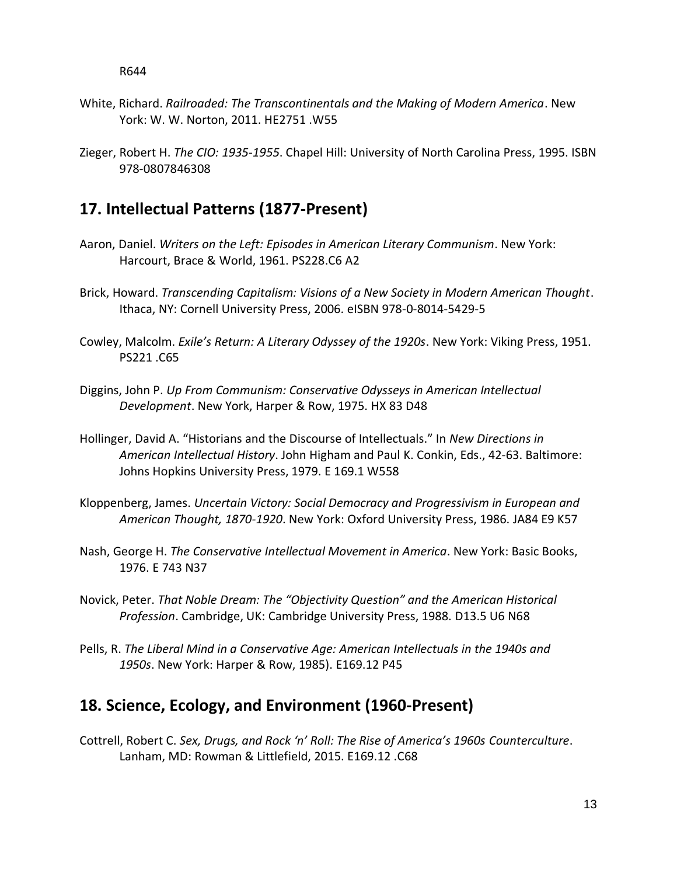- White, Richard. *Railroaded: The Transcontinentals and the Making of Modern America*. New York: W. W. Norton, 2011. HE2751 .W55
- Zieger, Robert H. *The CIO: 1935-1955*. Chapel Hill: University of North Carolina Press, 1995. ISBN 978-0807846308

#### **17. Intellectual Patterns (1877-Present)**

- Aaron, Daniel. *Writers on the Left: Episodes in American Literary Communism*. New York: Harcourt, Brace & World, 1961. PS228.C6 A2
- Brick, Howard. *Transcending Capitalism: Visions of a New Society in Modern American Thought*. Ithaca, NY: Cornell University Press, 2006. eISBN 978-0-8014-5429-5
- Cowley, Malcolm. *Exile's Return: A Literary Odyssey of the 1920s*. New York: Viking Press, 1951. PS221 .C65
- Diggins, John P. *Up From Communism: Conservative Odysseys in American Intellectual Development*. New York, Harper & Row, 1975. HX 83 D48
- Hollinger, David A. "Historians and the Discourse of Intellectuals." In *New Directions in American Intellectual History*. John Higham and Paul K. Conkin, Eds., 42-63. Baltimore: Johns Hopkins University Press, 1979. E 169.1 W558
- Kloppenberg, James. *Uncertain Victory: Social Democracy and Progressivism in European and American Thought, 1870-1920*. New York: Oxford University Press, 1986. JA84 E9 K57
- Nash, George H. *The Conservative Intellectual Movement in America*. New York: Basic Books, 1976. E 743 N37
- Novick, Peter. *That Noble Dream: The "Objectivity Question" and the American Historical Profession*. Cambridge, UK: Cambridge University Press, 1988. D13.5 U6 N68
- Pells, R. *The Liberal Mind in a Conservative Age: American Intellectuals in the 1940s and 1950s*. New York: Harper & Row, 1985). E169.12 P45

### **18. Science, Ecology, and Environment (1960-Present)**

Cottrell, Robert C. *Sex, Drugs, and Rock 'n' Roll: The Rise of America's 1960s Counterculture*. Lanham, MD: Rowman & Littlefield, 2015. E169.12 .C68